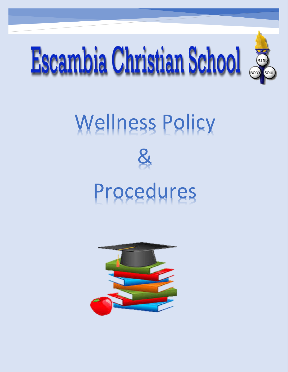

# Wellness Policy



## Procedures

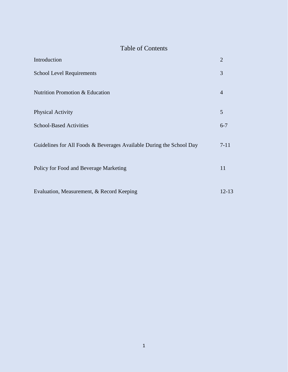### Table of Contents

| Introduction                                                         | $\overline{2}$ |
|----------------------------------------------------------------------|----------------|
| <b>School Level Requirements</b>                                     | 3              |
| Nutrition Promotion & Education                                      | $\overline{4}$ |
| <b>Physical Activity</b>                                             | 5              |
| <b>School-Based Activities</b>                                       | $6 - 7$        |
| Guidelines for All Foods & Beverages Available During the School Day | $7 - 11$       |
| Policy for Food and Beverage Marketing                               | 11             |
| Evaluation, Measurement, & Record Keeping                            | 12-13          |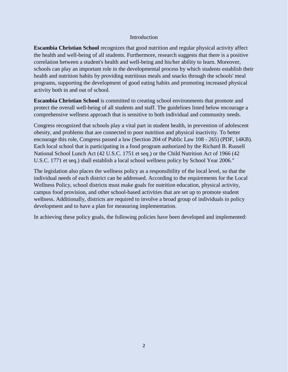#### Introduction

**Escambia Christian School** recognizes that good nutrition and regular physical activity affect the health and well-being of all students. Furthermore, research suggests that there is a positive correlation between a student's health and well-being and his/her ability to learn. Moreover, schools can play an important role in the developmental process by which students establish their health and nutrition habits by providing nutritious meals and snacks through the schools' meal programs, supporting the development of good eating habits and promoting increased physical activity both in and out of school.

**Escambia Christian School** is committed to creating school environments that promote and protect the overall well-being of all students and staff. The guidelines listed below encourage a comprehensive wellness approach that is sensitive to both individual and community needs.

Congress recognized that schools play a vital part in student health, in prevention of adolescent obesity, and problems that are connected to poor nutrition and physical inactivity. To better encourage this role, Congress passed a law (Section 204 of Public Law 108 - 265) (PDF, 14KB). Each local school that is participating in a food program authorized by the Richard B. Russell National School Lunch Act (42 U.S.C. 1751 et seq.) or the Child Nutrition Act of 1966 (42 U.S.C. 1771 et seq.) shall establish a local school wellness policy by School Year 2006."

The legislation also places the wellness policy as a responsibility of the local level, so that the individual needs of each district can be addressed. According to the requirements for the Local Wellness Policy, school districts must make goals for nutrition education, physical activity, campus food provision, and other school-based activities that are set up to promote student wellness. Additionally, districts are required to involve a broad group of individuals in policy development and to have a plan for measuring implementation.

In achieving these policy goals, the following policies have been developed and implemented: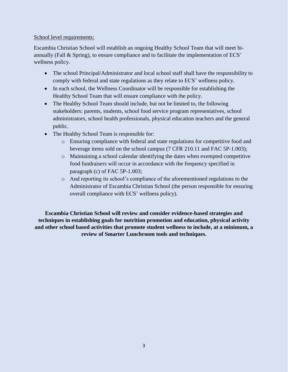#### School level requirements:

Escambia Christian School will establish an ongoing Healthy School Team that will meet biannually (Fall & Spring), to ensure compliance and to facilitate the implementation of ECS' wellness policy.

- The school Principal/Administrator and local school staff shall have the responsibility to comply with federal and state regulations as they relate to ECS' wellness policy.
- In each school, the Wellness Coordinator will be responsible for establishing the Healthy School Team that will ensure compliance with the policy.
- The Healthy School Team should include, but not be limited to, the following stakeholders: parents, students, school food service program representatives, school administrators, school health professionals, physical education teachers and the general public.
- The Healthy School Team is responsible for:
	- o Ensuring compliance with federal and state regulations for competitive food and beverage items sold on the school campus (7 CFR 210.11 and FAC 5P-1.003);
	- o Maintaining a school calendar identifying the dates when exempted competitive food fundraisers will occur in accordance with the frequency specified in paragraph (c) of FAC 5P-1.003;
	- o And reporting its school's compliance of the aforementioned regulations to the Administrator of Escambia Christian School (the person responsible for ensuring overall compliance with ECS' wellness policy).

**Escambia Christian School will review and consider evidence-based strategies and techniques in establishing goals for nutrition promotion and education, physical activity and other school based activities that promote student wellness to include, at a minimum, a review of Smarter Lunchroom tools and techniques.**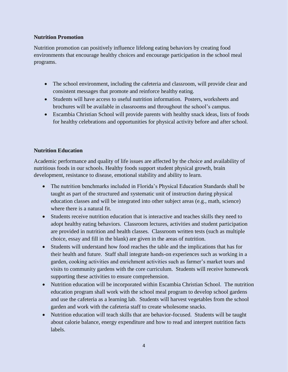#### **Nutrition Promotion**

Nutrition promotion can positively influence lifelong eating behaviors by creating food environments that encourage healthy choices and encourage participation in the school meal programs.

- The school environment, including the cafeteria and classroom, will provide clear and consistent messages that promote and reinforce healthy eating.
- Students will have access to useful nutrition information. Posters, worksheets and brochures will be available in classrooms and throughout the school's campus.
- Escambia Christian School will provide parents with healthy snack ideas, lists of foods for healthy celebrations and opportunities for physical activity before and after school.

#### **Nutrition Education**

Academic performance and quality of life issues are affected by the choice and availability of nutritious foods in our schools. Healthy foods support student physical growth, brain development, resistance to disease, emotional stability and ability to learn.

- The nutrition benchmarks included in Florida's Physical Education Standards shall be taught as part of the structured and systematic unit of instruction during physical education classes and will be integrated into other subject areas (e.g., math, science) where there is a natural fit.
- Students receive nutrition education that is interactive and teaches skills they need to adopt healthy eating behaviors. Classroom lectures, activities and student participation are provided in nutrition and health classes. Classroom written tests (such as multiple choice, essay and fill in the blank) are given in the areas of nutrition.
- Students will understand how food reaches the table and the implications that has for their health and future. Staff shall integrate hands-on experiences such as working in a garden, cooking activities and enrichment activities such as farmer's market tours and visits to community gardens with the core curriculum. Students will receive homework supporting these activities to ensure comprehension.
- Nutrition education will be incorporated within Escambia Christian School. The nutrition education program shall work with the school meal program to develop school gardens and use the cafeteria as a learning lab. Students will harvest vegetables from the school garden and work with the cafeteria staff to create wholesome snacks.
- Nutrition education will teach skills that are behavior-focused. Students will be taught about calorie balance, energy expenditure and how to read and interpret nutrition facts labels.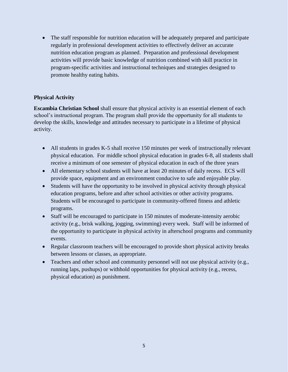• The staff responsible for nutrition education will be adequately prepared and participate regularly in professional development activities to effectively deliver an accurate nutrition education program as planned. Preparation and professional development activities will provide basic knowledge of nutrition combined with skill practice in program-specific activities and instructional techniques and strategies designed to promote healthy eating habits.

#### **Physical Activity**

**Escambia Christian School** shall ensure that physical activity is an essential element of each school's instructional program. The program shall provide the opportunity for all students to develop the skills, knowledge and attitudes necessary to participate in a lifetime of physical activity.

- All students in grades K-5 shall receive 150 minutes per week of instructionally relevant physical education. For middle school physical education in grades 6-8, all students shall receive a minimum of one semester of physical education in each of the three years
- All elementary school students will have at least 20 minutes of daily recess. ECS will provide space, equipment and an environment conducive to safe and enjoyable play.
- Students will have the opportunity to be involved in physical activity through physical education programs, before and after school activities or other activity programs. Students will be encouraged to participate in community-offered fitness and athletic programs.
- Staff will be encouraged to participate in 150 minutes of moderate-intensity aerobic activity (e.g., brisk walking, jogging, swimming) every week. Staff will be informed of the opportunity to participate in physical activity in afterschool programs and community events.
- Regular classroom teachers will be encouraged to provide short physical activity breaks between lessons or classes, as appropriate.
- Teachers and other school and community personnel will not use physical activity (e.g., running laps, pushups) or withhold opportunities for physical activity (e.g., recess, physical education) as punishment.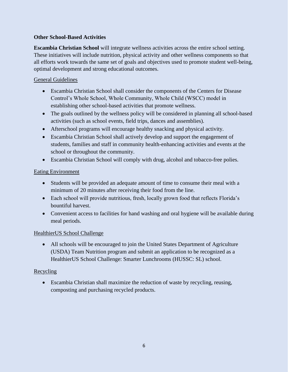#### **Other School-Based Activities**

**Escambia Christian School** will integrate wellness activities across the entire school setting. These initiatives will include nutrition, physical activity and other wellness components so that all efforts work towards the same set of goals and objectives used to promote student well-being, optimal development and strong educational outcomes.

#### General Guidelines

- Escambia Christian School shall consider the components of the Centers for Disease Control's Whole School, Whole Community, Whole Child (WSCC) model in establishing other school-based activities that promote wellness.
- The goals outlined by the wellness policy will be considered in planning all school-based activities (such as school events, field trips, dances and assemblies).
- Afterschool programs will encourage healthy snacking and physical activity.
- Escambia Christian School shall actively develop and support the engagement of students, families and staff in community health-enhancing activities and events at the school or throughout the community.
- Escambia Christian School will comply with drug, alcohol and tobacco-free polies.

#### Eating Environment

- Students will be provided an adequate amount of time to consume their meal with a minimum of 20 minutes after receiving their food from the line.
- Each school will provide nutritious, fresh, locally grown food that reflects Florida's bountiful harvest.
- Convenient access to facilities for hand washing and oral hygiene will be available during meal periods.

#### HealthierUS School Challenge

• All schools will be encouraged to join the United States Department of Agriculture (USDA) Team Nutrition program and submit an application to be recognized as a HealthierUS School Challenge: Smarter Lunchrooms (HUSSC: SL) school.

#### Recycling

• Escambia Christian shall maximize the reduction of waste by recycling, reusing, composting and purchasing recycled products.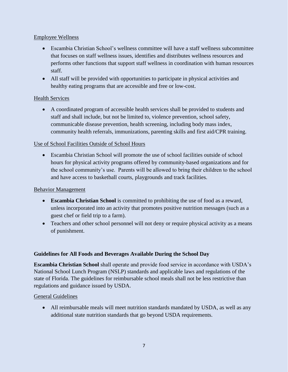#### Employee Wellness

- Escambia Christian School's wellness committee will have a staff wellness subcommittee that focuses on staff wellness issues, identifies and distributes wellness resources and performs other functions that support staff wellness in coordination with human resources staff.
- All staff will be provided with opportunities to participate in physical activities and healthy eating programs that are accessible and free or low-cost.

#### **Health Services**

• A coordinated program of accessible health services shall be provided to students and staff and shall include, but not be limited to, violence prevention, school safety, communicable disease prevention, health screening, including body mass index, community health referrals, immunizations, parenting skills and first aid/CPR training.

#### Use of School Facilities Outside of School Hours

• Escambia Christian School will promote the use of school facilities outside of school hours for physical activity programs offered by community-based organizations and for the school community's use. Parents will be allowed to bring their children to the school and have access to basketball courts, playgrounds and track facilities.

#### Behavior Management

- **Escambia Christian School** is committed to prohibiting the use of food as a reward, unless incorporated into an activity that promotes positive nutrition messages (such as a guest chef or field trip to a farm).
- Teachers and other school personnel will not deny or require physical activity as a means of punishment.

#### **Guidelines for All Foods and Beverages Available During the School Day**

**Escambia Christian School** shall operate and provide food service in accordance with USDA's National School Lunch Program (NSLP) standards and applicable laws and regulations of the state of Florida. The guidelines for reimbursable school meals shall not be less restrictive than regulations and guidance issued by USDA.

#### General Guidelines

• All reimbursable meals will meet nutrition standards mandated by USDA, as well as any additional state nutrition standards that go beyond USDA requirements.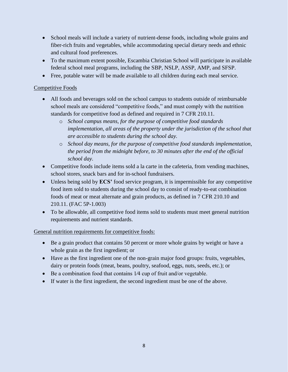- School meals will include a variety of nutrient-dense foods, including whole grains and fiber-rich fruits and vegetables, while accommodating special dietary needs and ethnic and cultural food preferences.
- To the maximum extent possible, Escambia Christian School will participate in available federal school meal programs, including the SBP, NSLP, ASSP, AMP, and SFSP.
- Free, potable water will be made available to all children during each meal service.

#### Competitive Foods

- All foods and beverages sold on the school campus to students outside of reimbursable school meals are considered "competitive foods," and must comply with the nutrition standards for competitive food as defined and required in 7 CFR 210.11.
	- o *School campus means, for the purpose of competitive food standards implementation, all areas of the property under the jurisdiction of the school that are accessible to students during the school day.*
	- o *School day means, for the purpose of competitive food standards implementation, the period from the midnight before, to 30 minutes after the end of the official school day.*
- Competitive foods include items sold a la carte in the cafeteria, from vending machines, school stores, snack bars and for in-school fundraisers.
- Unless being sold by **ECS'** food service program, it is impermissible for any competitive food item sold to students during the school day to consist of ready-to-eat combination foods of meat or meat alternate and grain products, as defined in 7 CFR 210.10 and 210.11. (FAC 5P-1.003)
- To be allowable, all competitive food items sold to students must meet general nutrition requirements and nutrient standards.

General nutrition requirements for competitive foods:

- Be a grain product that contains 50 percent or more whole grains by weight or have a whole grain as the first ingredient; or
- Have as the first ingredient one of the non-grain major food groups: fruits, vegetables, dairy or protein foods (meat, beans, poultry, seafood, eggs, nuts, seeds, etc.); or
- Be a combination food that contains 1/4 cup of fruit and/or vegetable.
- If water is the first ingredient, the second ingredient must be one of the above.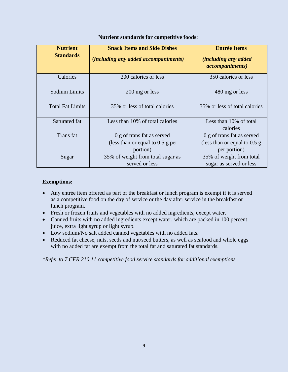| <b>Nutrient</b>         | <b>Snack Items and Side Dishes</b>          | <b>Entrée Items</b>            |
|-------------------------|---------------------------------------------|--------------------------------|
| <b>Standards</b>        | <i>(including any added accompaniments)</i> | <i>(including any added)</i>   |
|                         |                                             | <i>accompaniments</i> )        |
| Calories                | 200 calories or less                        | 350 calories or less           |
| <b>Sodium Limits</b>    | 200 mg or less                              | 480 mg or less                 |
| <b>Total Fat Limits</b> | 35% or less of total calories               | 35% or less of total calories  |
| Saturated fat           | Less than 10% of total calories             | Less than 10% of total         |
|                         |                                             | calories                       |
| Trans fat               | 0 g of trans fat as served                  | 0 g of trans fat as served     |
|                         | (less than or equal to $0.5$ g per          | (less than or equal to $0.5$ g |
|                         | portion)                                    | per portion)                   |
| Sugar                   | 35% of weight from total sugar as           | 35% of weight from total       |
|                         | served or less                              | sugar as served or less        |

#### **Nutrient standards for competitive foods**:

#### **Exemptions:**

- Any entrée item offered as part of the breakfast or lunch program is exempt if it is served as a competitive food on the day of service or the day after service in the breakfast or lunch program.
- Fresh or frozen fruits and vegetables with no added ingredients, except water.
- Canned fruits with no added ingredients except water, which are packed in 100 percent juice, extra light syrup or light syrup.
- Low sodium/No salt added canned vegetables with no added fats.
- Reduced fat cheese, nuts, seeds and nut/seed butters, as well as seafood and whole eggs with no added fat are exempt from the total fat and saturated fat standards.

*\*Refer to 7 CFR 210.11 competitive food service standards for additional exemptions.*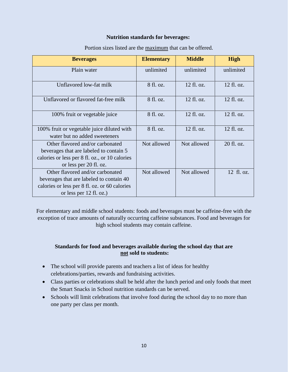#### **Nutrition standards for beverages:**

| <b>Beverages</b>                                                                                                                                         | <b>Elementary</b> | <b>Middle</b> | <b>High</b> |
|----------------------------------------------------------------------------------------------------------------------------------------------------------|-------------------|---------------|-------------|
| Plain water                                                                                                                                              | unlimited         | unlimited     | unlimited   |
| Unflavored low-fat milk                                                                                                                                  | 8 fl. oz.         | 12 fl. oz.    | 12 fl. oz.  |
| Unflavored or flavored fat-free milk                                                                                                                     | 8 fl. oz.         | 12 fl. oz.    | 12 fl. oz.  |
| 100% fruit or vegetable juice                                                                                                                            | 8 fl. oz.         | 12 fl. oz.    | 12 fl. oz.  |
| 100% fruit or vegetable juice diluted with<br>water but no added sweeteners                                                                              | 8 fl. oz.         | 12 fl. oz.    | 12 fl. oz.  |
| Other flavored and/or carbonated<br>beverages that are labeled to contain 5<br>calories or less per 8 fl. oz., or 10 calories<br>or less per 20 fl. oz.  | Not allowed       | Not allowed   | 20 fl. oz.  |
| Other flavored and/or carbonated<br>beverages that are labeled to contain 40<br>calories or less per 8 fl. oz. or 60 calories<br>or less per 12 fl. oz.) | Not allowed       | Not allowed   | 12 fl. oz.  |

Portion sizes listed are the maximum that can be offered.

For elementary and middle school students: foods and beverages must be caffeine-free with the exception of trace amounts of naturally occurring caffeine substances. Food and beverages for high school students may contain caffeine.

#### **Standards for food and beverages available during the school day that are not sold to students:**

- The school will provide parents and teachers a list of ideas for healthy celebrations/parties, rewards and fundraising activities.
- Class parties or celebrations shall be held after the lunch period and only foods that meet the Smart Snacks in School nutrition standards can be served.
- Schools will limit celebrations that involve food during the school day to no more than one party per class per month.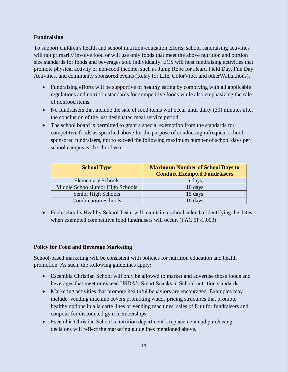#### **Fundraising**

To support children's health and school nutrition-education efforts, school fundraising activities will not primarily involve food or will use only foods that meet the above nutrition and portion size standards for foods and beverages sold individually. ECS will host fundraising activities that promote physical activity or non-food income, such as Jump Rope for Heart, Field Day, Fun Day Activities, and community sponsored events (Relay for Life, ColorVibe, and otherWalkathons).

- Fundraising efforts will be supportive of healthy eating by complying with all applicable regulations and nutrition standards for competitive foods while also emphasizing the sale of nonfood items.
- No fundraisers that include the sale of food items will occur until thirty (30) minutes after the conclusion of the last designated meal service period.
- The school board is permitted to grant a special exemption from the standards for competitive foods as specified above for the purpose of conducting infrequent schoolsponsored fundraisers, not to exceed the following maximum number of school days per school campus each school year:

| <b>School Type</b>                | <b>Maximum Number of School Days to</b><br><b>Conduct Exempted Fundraisers</b> |
|-----------------------------------|--------------------------------------------------------------------------------|
| <b>Elementary Schools</b>         | 5 days                                                                         |
| Middle School/Junior High Schools | 10 days                                                                        |
| Senior High Schools               | 15 days                                                                        |
| <b>Combination Schools</b>        | 10 days                                                                        |

• Each school's Healthy School Team will maintain a school calendar identifying the dates when exempted competitive food fundraisers will occur. (FAC 5P-1.003)

#### **Policy for Food and Beverage Marketing**

School-based marketing will be consistent with policies for nutrition education and health promotion. As such, the following guidelines apply:

- Escambia Christian School will only be allowed to market and advertise those foods and beverages that meet or exceed USDA's Smart Snacks in School nutrition standards.
- Marketing activities that promote healthful behaviors are encouraged. Examples may include: vending machine covers promoting water, pricing structures that promote healthy options in a la carte lines or vending machines, sales of fruit for fundraisers and coupons for discounted gym memberships.
- Escambia Christian School's nutrition department's replacement and purchasing decisions will reflect the marketing guidelines mentioned above.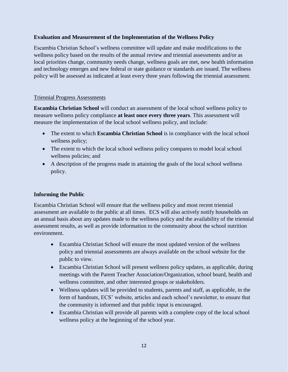#### **Evaluation and Measurement of the Implementation of the Wellness Policy**

Escambia Christian School's wellness committee will update and make modifications to the wellness policy based on the results of the annual review and triennial assessments and/or as local priorities change, community needs change, wellness goals are met, new health information and technology emerges and new federal or state guidance or standards are issued. The wellness policy will be assessed as indicated at least every three years following the triennial assessment.

#### Triennial Progress Assessments

**Escambia Christian School** will conduct an assessment of the local school wellness policy to measure wellness policy compliance **at least once every three years**. This assessment will measure the implementation of the local school wellness policy, and include:

- The extent to which **Escambia Christian School** is in compliance with the local school wellness policy;
- The extent to which the local school wellness policy compares to model local school wellness policies; and
- A description of the progress made in attaining the goals of the local school wellness policy.

#### **Informing the Public**

Escambia Christian School will ensure that the wellness policy and most recent triennial assessment are available to the public at all times. ECS will also actively notify households on an annual basis about any updates made to the wellness policy and the availability of the triennial assessment results, as well as provide information to the community about the school nutrition environment.

- Escambia Christian School will ensure the most updated version of the wellness policy and triennial assessments are always available on the school website for the public to view.
- Escambia Christian School will present wellness policy updates, as applicable, during meetings with the Parent Teacher Association/Organization, school board, health and wellness committee, and other interested groups or stakeholders.
- Wellness updates will be provided to students, parents and staff, as applicable, in the form of handouts, ECS' website, articles and each school's newsletter, to ensure that the community is informed and that public input is encouraged.
- Escambia Christian will provide all parents with a complete copy of the local school wellness policy at the beginning of the school year.